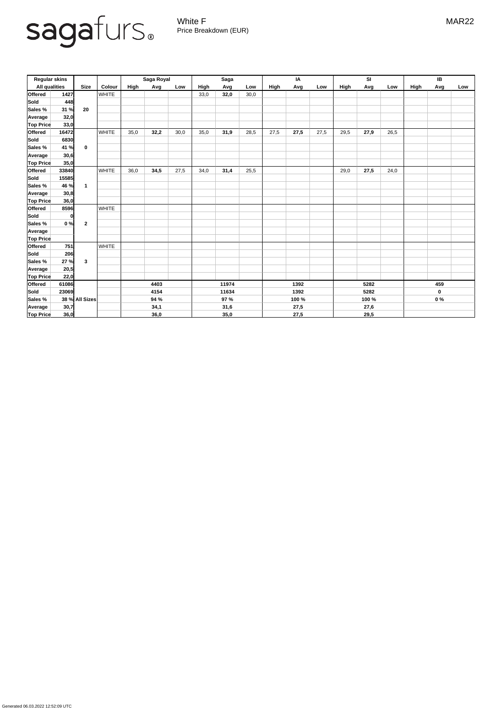Generated 06.03.2022 12:52:09 UTC



White F MAR22 Price Breakdown (EUR)

| <b>Regular skins</b> |       |                |              | Saga Royal |      |       | <b>Saga</b> |      |       | IA   |      |       | <b>SI</b> |             |       | IB   |     |     |
|----------------------|-------|----------------|--------------|------------|------|-------|-------------|------|-------|------|------|-------|-----------|-------------|-------|------|-----|-----|
| <b>All qualities</b> |       | <b>Size</b>    | Colour       | High       | Avg  | Low   | High        | Avg  | Low   | High | Avg  | Low   | High      | Avg         | Low   | High | Avg | Low |
| <b>Offered</b>       | 1427  |                | <b>WHITE</b> |            |      |       | 33,0        | 32,0 | 30,0  |      |      |       |           |             |       |      |     |     |
| Sold                 | 448   |                |              |            |      |       |             |      |       |      |      |       |           |             |       |      |     |     |
| <b>Sales %</b>       | 31 %  | 20             |              |            |      |       |             |      |       |      |      |       |           |             |       |      |     |     |
| <b>Average</b>       | 32,0  |                |              |            |      |       |             |      |       |      |      |       |           |             |       |      |     |     |
| <b>Top Price</b>     | 33,0  |                |              |            |      |       |             |      |       |      |      |       |           |             |       |      |     |     |
| <b>Offered</b>       | 16472 | $\mathbf 0$    | <b>WHITE</b> | 35,0       | 32,2 | 30,0  | 35,0        | 31,9 | 28,5  | 27,5 | 27,5 | 27,5  | 29,5      | 27,9        | 26,5  |      |     |     |
| Sold                 | 6830  |                |              |            |      |       |             |      |       |      |      |       |           |             |       |      |     |     |
| <b>Sales</b> %       | 41 %  |                |              |            |      |       |             |      |       |      |      |       |           |             |       |      |     |     |
| <b>Average</b>       | 30,6  |                |              |            |      |       |             |      |       |      |      |       |           |             |       |      |     |     |
| <b>Top Price</b>     | 35,0  |                |              |            |      |       |             |      |       |      |      |       |           |             |       |      |     |     |
| <b>Offered</b>       | 33840 |                | <b>WHITE</b> | 36,0       | 34,5 | 27,5  | 34,0        | 31,4 | 25,5  |      |      |       | 29,0      | 27,5        | 24,0  |      |     |     |
| Sold                 | 15585 |                |              |            |      |       |             |      |       |      |      |       |           |             |       |      |     |     |
| <b>Sales %</b>       | 46 %  |                |              |            |      |       |             |      |       |      |      |       |           |             |       |      |     |     |
| Average              | 30,8  |                |              |            |      |       |             |      |       |      |      |       |           |             |       |      |     |     |
| <b>Top Price</b>     | 36,0  |                |              |            |      |       |             |      |       |      |      |       |           |             |       |      |     |     |
| <b>Offered</b>       | 8596  |                | <b>WHITE</b> |            |      |       |             |      |       |      |      |       |           |             |       |      |     |     |
| <b>Sold</b>          |       |                |              |            |      |       |             |      |       |      |      |       |           |             |       |      |     |     |
| <b>Sales</b> %       | 0%    | $\overline{2}$ |              |            |      |       |             |      |       |      |      |       |           |             |       |      |     |     |
| <b>Average</b>       |       |                |              |            |      |       |             |      |       |      |      |       |           |             |       |      |     |     |
| <b>Top Price</b>     |       |                |              |            |      |       |             |      |       |      |      |       |           |             |       |      |     |     |
| <b>Offered</b>       | 751   |                | <b>WHITE</b> |            |      |       |             |      |       |      |      |       |           |             |       |      |     |     |
| Sold                 | 206   |                |              |            |      |       |             |      |       |      |      |       |           |             |       |      |     |     |
| Sales %              | 27 %  | $\mathbf{3}$   |              |            |      |       |             |      |       |      |      |       |           |             |       |      |     |     |
| Average              | 20,5  |                |              |            |      |       |             |      |       |      |      |       |           |             |       |      |     |     |
| <b>Top Price</b>     | 22,0  |                |              |            |      |       |             |      |       |      |      |       |           |             |       |      |     |     |
| <b>Offered</b>       | 61086 |                | 4403         |            |      | 11974 |             |      | 1392  |      |      | 5282  |           |             | 459   |      |     |     |
| Sold                 | 23069 |                |              | 4154       |      |       | 11634       |      | 1392  |      | 5282 |       |           | $\mathbf 0$ |       |      |     |     |
| Sales %              |       | 38 % All Sizes |              | 94 %       |      |       | 97 %        |      | 100 % |      |      | 100 % |           |             | $0\%$ |      |     |     |
| Average              | 30,7  |                |              | 34,1       |      |       | 31,6        |      | 27,5  |      |      | 27,6  |           |             |       |      |     |     |
| <b>Top Price</b>     | 36,0  |                |              | 36,0       |      |       | 35,0        |      | 27,5  |      |      | 29,5  |           |             |       |      |     |     |